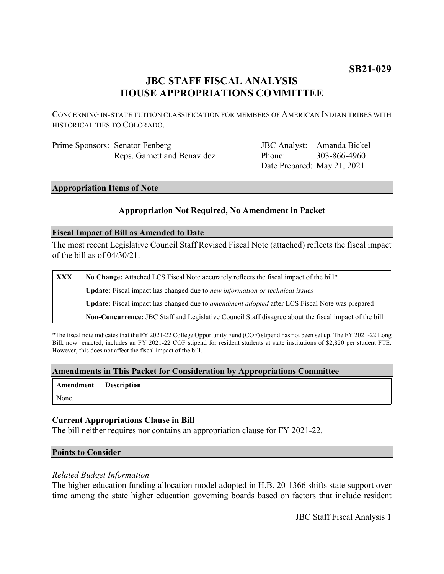# **JBC STAFF FISCAL ANALYSIS HOUSE APPROPRIATIONS COMMITTEE**

CONCERNING IN-STATE TUITION CLASSIFICATION FOR MEMBERS OF AMERICAN INDIAN TRIBES WITH HISTORICAL TIES TO COLORADO.

| Prime Sponsors: Senator Fenberg |  |
|---------------------------------|--|
| Reps. Garnett and Benavidez     |  |

JBC Analyst: Amanda Bickel Phone: Date Prepared: May 21, 2021 303-866-4960

## **Appropriation Items of Note**

# **Appropriation Not Required, No Amendment in Packet**

### **Fiscal Impact of Bill as Amended to Date**

The most recent Legislative Council Staff Revised Fiscal Note (attached) reflects the fiscal impact of the bill as of 04/30/21.

| <b>XXX</b> | No Change: Attached LCS Fiscal Note accurately reflects the fiscal impact of the bill*                |  |
|------------|-------------------------------------------------------------------------------------------------------|--|
|            | Update: Fiscal impact has changed due to new information or technical issues                          |  |
|            | Update: Fiscal impact has changed due to <i>amendment adopted</i> after LCS Fiscal Note was prepared  |  |
|            | Non-Concurrence: JBC Staff and Legislative Council Staff disagree about the fiscal impact of the bill |  |

\*The fiscal note indicates that the FY 2021-22 College Opportunity Fund (COF) stipend has not been set up. The FY 2021-22 Long Bill, now enacted, includes an FY 2021-22 COF stipend for resident students at state institutions of \$2,820 per student FTE. However, this does not affect the fiscal impact of the bill.

## **Amendments in This Packet for Consideration by Appropriations Committee**

| Amendment | <b>Description</b> |
|-----------|--------------------|
|-----------|--------------------|

None.

# **Current Appropriations Clause in Bill**

The bill neither requires nor contains an appropriation clause for FY 2021-22.

### **Points to Consider**

### *Related Budget Information*

The higher education funding allocation model adopted in H.B. 20-1366 shifts state support over time among the state higher education governing boards based on factors that include resident